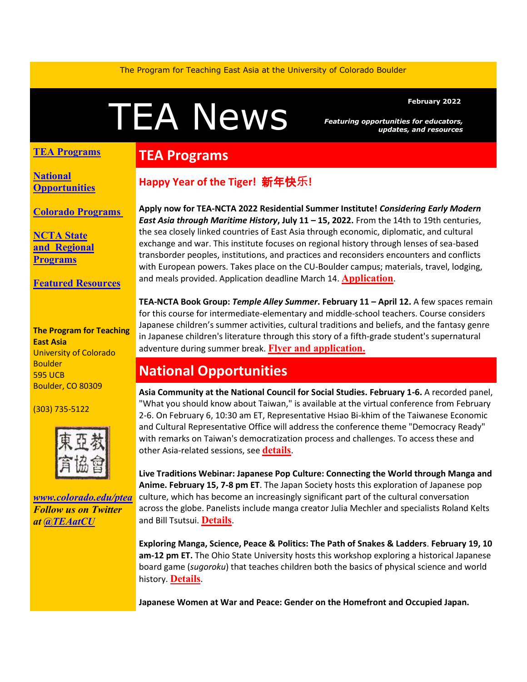The Program for Teaching East Asia at the University of Colorado Boulder

# February 2022<br>Featuring opportunities for educators,<br>updates, and resources

*Featuring opportunities for educators, updates, and resources*

#### **TEA Programs**

**[National](#page-0-0)  [Opportunities](#page-0-0)**

**[Colorado Programs](#page-1-0)**

**[NCTA State](#page-2-0)  and [Regional](#page-2-0)  [Programs](#page-2-0)**

**[Featured Resources](#page-2-1)**

#### **The Program for Teaching East Asia** University of Colorado **Boulder** 595 UCB Boulder, CO 80309

(303) 735-5122



*[www.colorado.edu/ptea](https://colorado.us14.list-manage.com/track/click?u=a98f30f153ca1547742422446&id=b0faef77b7&e=9708c75edc) Follow us on Twitter at [@TEAatCU](https://secure-web.cisco.com/1PyWDXXJzPWwWy8bxBcZBx7CLyQ8MqZNZvxTer5q3OplIZkEitSN6KmFCYzdItU6NqlZnz4Tsc0yUVeVEWora8ZL3hr_TSBvM5HwjQ-Y8tERCUVmyhlXgzvSsF75Fr6VNDGggK1JhUfC7jSJ5aYxQmLey2ldzz7zu7fUnkLL1axbguWyJ3WuR7qHfVgw44qYMST8HSi9RDbuahC_LAx0UNlJA1utVAP4mhN5t9kFXvrPRjcoAUDpd87fByiqhOVfQKeIf7pLtFwixmakk7-VpPcwk22TEG1nV8XtYsh9PF1_XK8uRIva-xZhH1bb2zIve9L-2GYg5kS60qdMfHyfyaUsuK3-IrFfOdCcxqcUYr365yGwlosEzhvKKtOYLzoKqvjrLf8l_KXo-ejgodev0r6PHxyHmKbiyF6FIiPcJQ9Vr-Mzp6g68VE_2Tx9dQLCD/https%3A%2F%2Fcolorado.us14.list-manage.com%2Ftrack%2Fclick%3Fu%3Da98f30f153ca1547742422446%26id%3D1a24300d23%26e%3D9708c75edc)*

## **TEA Programs**

## **Happy Year of the Tiger!** 新年快**乐!**

**Apply now for TEA-NCTA 2022 Residential Summer Institute!** *Considering Early Modern East Asia through Maritime History***, July 11 – 15, 2022.** From the 14th to 19th centuries, the sea closely linked countries of East Asia through economic, diplomatic, and cultural exchange and war. This institute focuses on regional history through lenses of sea-based transborder peoples, institutions, and practices and reconsiders encounters and conflicts with European powers. Takes place on the CU-Boulder campus; materials, travel, lodging, and meals provided. Application deadline March 14. **[Application](https://secure-web.cisco.com/1NMotRZlkzcBTs-dV_nwr68etVPq9upAt3vBz8cmvVBUStT9FMjqcI36AOmJ66PymhEp3MbwbHxqO9I8Bb5OVC4cq3PKdG5i_krv3wG3UhAOqIs1QryK1mGKi2nycnF7tnYd2vqg3EOKFXY5-jwxoqVZK8XiSNa60Z_yJlloHDtQilOp_pUk0OvP6ON8MGYKvVlI-wHVu7uFoSZcm4Q7h2Ku40ZHtu2_u6qkx3G5j3_XGYNPF08Uymmg2NraO7-iRQo0DtZuhfMYUvgLDl5Qb2po4R3F_ZIi5VW6WKuxjmPta3UoKGVCM7-hVagxVI0WHrQcbgTVONWtGknfP1gBbOug353pFHaRt7GAPawv9Uwd2T9hoPXPAMmYAeP23SsWrDDpcVFxeKvCpW1Vrzlxvxl6jy-DXrAIWl7gTrizK0J_JqkzAjyyjsi4Aey_3PYxB/https%3A%2F%2Fcolorado.us14.list-manage.com%2Ftrack%2Fclick%3Fu%3Da98f30f153ca1547742422446%26id%3D90d229d932%26e%3D9708c75edc)**.

**TEA-NCTA Book Group:** *Temple Alley Summer***. February 11 – April 12.** A few spaces remain for this course for intermediate-elementary and middle-school teachers. Course considers Japanese children's summer activities, cultural traditions and beliefs, and the fantasy genre in Japanese children's literature through this story of a fifth-grade student's supernatural adventure during summer break. **[Flyer and application.](https://secure-web.cisco.com/1NWQnJZInCOis_VwajK4qNkT4i6hLCz6Q_W8Qkw-oTVW729ZZjE_alnfYkvYZBkAAU8l4PQOgvEn-piH8khEmlV8VRzdClKhVmrdgKV2IkMTueERRYdEDqVy9jqE-QSvrqp2dsL9m4aHg4nGSa0kHiSz6-cU0k0KB37h9PKWO57XI1SGoKLHeimIq1hbWhauKNoE62XrGbULVjxsOKc-Fjx74DLFHS0Zn0fRiEQwM8nZVrcacf9xckFaozKjK1F4cOJsGdG4RQY_VKDfB2n-GDFIiEQyLqj523YLURHCaUjMNAgc5T-Lb-okiqYb5LLuRKjc38ePMrxb8KRDM-W7tv_AEB4ikYzHwtKw4bmQJUkP15sqM81PV8rcbZDmWslxGSySXu1XPR8Xx8ELeP8Toe4ZuR5NrcGPXjVxs-GbrgFuXbVGmsG45QYnxurJd5dyr/https%3A%2F%2Fcolorado.us14.list-manage.com%2Ftrack%2Fclick%3Fu%3Da98f30f153ca1547742422446%26id%3D3ac51ac6ec%26e%3D9708c75edc)**

# <span id="page-0-0"></span>**National Opportunities**

**Asia Community at the National Council for Social Studies. February 1-6.** A recorded panel, "What you should know about Taiwan," is available at the virtual conference from February 2-6. On February 6, 10:30 am ET, Representative Hsiao Bi-khim of the Taiwanese Economic and Cultural Representative Office will address the conference theme "Democracy Ready" with remarks on Taiwan's democratization process and challenges. To access these and other Asia-related sessions, see **[details](https://secure-web.cisco.com/19WxQK8YQ6e4ZHHLKWJ7Ld6j9x5JJ8AsTxxQ4RyoOjQL-H432n3c6rNAI4XmkcnyyVrbnfSyMkGAK-4jlIb1Zua_hjHHF3S8Ka1Opvowoza6APiSjW1bhAaUO_0Zcxpi2F7RBooL5hDQ5S1LlGcUMQxmJXT0r3X4XL0ASl-dtY7T9OgW8Oo5Ge077CyudVshagbDesryeD2ygJbxrL02QfUba1TB3_x3ggW7IXJmlPMgZZwRNwN84K5P2ws_8qiFpsfwhc3eCeqIKl7vdHwKlGSl0cPi4LsAHb6tndRuDWbVPu-zMpw6ng_wkRPdh6d2-wZ_B41SXJFSGDqZ_5C1NFd2R3JrQQ6kJQm2unLC7i-8eeUuXNhkGKBmLSHwFnFRecpf8BytdT5wuZrKPm652bYm5wBf8IsHWXQjZH7nZW4S2LNQZoHAHdXjTXTJXQrnj/https%3A%2F%2Fcolorado.us14.list-manage.com%2Ftrack%2Fclick%3Fu%3Da98f30f153ca1547742422446%26id%3D180478b3a9%26e%3D9708c75edc)**.

**Live Traditions Webinar: Japanese Pop Culture: Connecting the World through Manga and Anime. February 15, 7-8 pm ET**. The Japan Society hosts this exploration of Japanese pop culture, which has become an increasingly significant part of the cultural conversation across the globe. Panelists include manga creator Julia Mechler and specialists Roland Kelts and Bill Tsutsui. **[Details](https://colorado.us14.list-manage.com/track/click?u=a98f30f153ca1547742422446&id=916cb4679b&e=9708c75edc)**.

**Exploring Manga, Science, Peace & Politics: The Path of Snakes & Ladders**. **February 19, 10 am-12 pm ET.** The Ohio State University hosts this workshop exploring a historical Japanese board game (*sugoroku*) that teaches children both the basics of physical science and world history. **[Details](https://colorado.us14.list-manage.com/track/click?u=a98f30f153ca1547742422446&id=0b817f60b2&e=9708c75edc)**.

**Japanese Women at War and Peace: Gender on the Homefront and Occupied Japan.**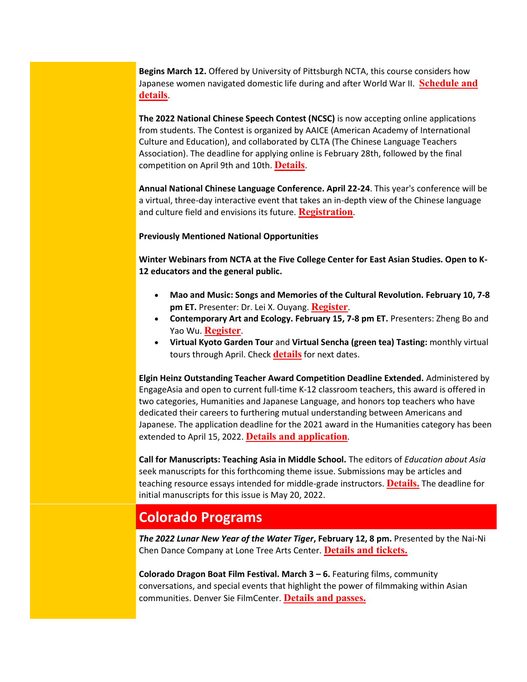**Begins March 12.** Offered by University of Pittsburgh NCTA, this course considers how Japanese women navigated domestic life during and after World War II. **[Schedule and](https://colorado.us14.list-manage.com/track/click?u=a98f30f153ca1547742422446&id=364bfd57e0&e=9708c75edc) [details](https://colorado.us14.list-manage.com/track/click?u=a98f30f153ca1547742422446&id=364bfd57e0&e=9708c75edc)**.

**The 2022 National Chinese Speech Contest (NCSC)** is now accepting online applications from students. The Contest is organized by AAICE (American Academy of International Culture and Education), and collaborated by CLTA (The Chinese Language Teachers Association). The deadline for applying online is February 28th, followed by the final competition on April 9th and 10th. **[Details](https://colorado.us14.list-manage.com/track/click?u=a98f30f153ca1547742422446&id=48dd187641&e=9708c75edc)**.

**Annual National Chinese Language Conference. April 22-24**. This year's conference will be a virtual, three-day interactive event that takes an in-depth view of the Chinese language and culture field and envisions its future. **[Registration](https://secure-web.cisco.com/16E1QhwRKFZHfDbN2KiuIbN36tmS94yK-YI0z9sbXXQNkdbcgjIfw-DCR508mm3_rfXWi6IO0du_aI6zGHwDNKAD87GvGb36kHOvH-e-2ZUM5tLrfJtW4I2aOsvihlWRiDBpCkxgLlowod-lqrVpM7y-fY6bq-aDE9ECyW4HS34W61id-lO-JzEtXhFCMxCsgqfhVXlaC_t9hXdDkKRddTQ5iL2xwBuJhpjwDctl7iEPguEARhKe6avJuaQsAA4Wfl_tobCE-T1PUVPFbO-NKb8klySkqvfJU6pFgibMv1ppg9WOoGTgQWWrq1CYJEMOziVWL6sbsYkzwwdLN4RazFaihsuv-sfzgnRHWJeD3auYnbSz_gNiBCoHmPOqQhlFpR0IiBWomE5zQaz4aewswc-hI9SzUloZx8816-acBONpb1Pr9jGgZUonHUG4kbkeP/https%3A%2F%2Fcolorado.us14.list-manage.com%2Ftrack%2Fclick%3Fu%3Da98f30f153ca1547742422446%26id%3D4af7d3b7ba%26e%3D9708c75edc)**.

**Previously Mentioned National Opportunities**

**Winter Webinars from NCTA at the Five College Center for East Asian Studies. Open to K-12 educators and the general public.**

- **Mao and Music: Songs and Memories of the Cultural Revolution. February 10, 7-8 pm ET.** Presenter: Dr. Lei X. Ouyang. **[Register](https://secure-web.cisco.com/15cu7P6jg0H91VIJUQVh6wh723bZyqIYAnj7ybeV8nYFH-YqYSRoJ91jFEJXQe7ptMlZtK3DDD_wS5iKyKENUFmP3Kpi9x-tPYjf2aK7lwoVKHHwUuBVUdI5WHaM0bZI7-XrxibTDWv-LYhWccQAAPoFImX5F6TSmb4zi4igLwBDid1YgaJrPDbvLnGRlb7jORGrrM9Uosby4rm4q2h15vxg8pgrXDkX1po62bBdi0g5fnczylx5zAYcweRI8w0KXz_7ataRpUeeps_gxziQlQBJmcm1IgtA_XsD6htcsQn-BWLqNCM7vr3_11qSyQM6jIJzsGcgG44r-vC5dPMBtPq0fYBvx_w5gfLazHwdfL5w3iLyLlVtkCTSrdcmvfyDWUUgMj1e9eUoHriB27TqJGDVI0Q6nTc0PKgPoMh8llYXDQPxpGGUUnj_fKP3Hr1kP/https%3A%2F%2Fcolorado.us14.list-manage.com%2Ftrack%2Fclick%3Fu%3Da98f30f153ca1547742422446%26id%3D97d492d070%26e%3D9708c75edc)**.
- **Contemporary Art and Ecology. February 15, 7-8 pm ET.** Presenters: Zheng Bo and Yao Wu. **[Register](https://colorado.us14.list-manage.com/track/click?u=a98f30f153ca1547742422446&id=70e83924ea&e=9708c75edc)**.
- **Virtual Kyoto Garden Tour** and **Virtual Sencha (green tea) Tasting:** monthly virtual tours through April. Check **[details](https://colorado.us14.list-manage.com/track/click?u=a98f30f153ca1547742422446&id=97189ce086&e=9708c75edc)** for next dates.

**Elgin Heinz Outstanding Teacher Award Competition Deadline Extended.** Administered by EngageAsia and open to current full-time K-12 classroom teachers, this award is offered in two categories, Humanities and Japanese Language, and honors top teachers who have dedicated their careers to furthering mutual understanding between Americans and Japanese. The application deadline for the 2021 award in the Humanities category has been extended to April 15, 2022. **[Details and application](https://secure-web.cisco.com/1Km4c1-yVb3jtn2lFYopzEI9X8XqaifzG0h_VptmLRgRZp_Q8u15qVX-AecwQnK9WxJkOAxeEiINQRk5hh2FOePp1f8HQq5RFajfaePT-OvPQsxojulMoJjrLcjstyvCaWk03YSG7XBifIkHyRCoo8o2FqWJ1dCuDhZHyx9D39bRm8gNzNeHE73seIXCOAbTVxvO8HGbuNvGm8uRgcje9alIIe01QVJSrOqQ6-3f6txdxpy-g7E93Puo_jBTI82x_co9cbq_cdxSzMUKlsmRjJrKkHg6HTIrn_8GDnnMvdVl-YqODXGcuSeYzTYNRPLICn-_Y1jdnin1WkOHPUjTiLPun4nFu6xZqeSV0kZo9fDAk9eRHE-EcKGOmceKRbNaK8bGgxuv-NF_SDn64s23ErOmoGR5h3bgHi6URLZYNE0s8-IvoCDpVXdkXGBp_PX63/https%3A%2F%2Fcolorado.us14.list-manage.com%2Ftrack%2Fclick%3Fu%3Da98f30f153ca1547742422446%26id%3D5c49149606%26e%3D9708c75edc)**.

**Call for Manuscripts: Teaching Asia in Middle School.** The editors of *Education about Asia* seek manuscripts for this forthcoming theme issue. Submissions may be articles and teaching resource essays intended for middle-grade instructors. **[Details.](https://secure-web.cisco.com/1wZzMmrg81Efm_a8K6wea8ic0bmJf_L6kKjFyxVbCH5HGqrzzNOgLX4gAPbXepY52heyzUqWGhJwJgfGxy9nquBNnmlQaBgwLIbFJM35Mhd6WZwreQfqr9-pT9gDmTdbCIUqvVfAXUn67rNuDvImcuVexmPzz4r8HRXwz_mXV0NUGAAFqJZuLR9TSUtFBaJmYzdmR11uUpN-8mY74Qd7wAqqW65TW4V6DaTIadipl-yaUBpFgL3ypF_xlhq14bWMRsrZPHkk4scW_U0VU2265tafXzuQ21xWEwhrgQYdvXpqP_fkALmorIrCltY_ncQ1BR5wK1UrAK_SGNuUcVgw7E1se0EPLxIRm3KNCnAnsJm2FTmOb1_Gghyiez2jgveJ1uSIQsZjNr3uivuV_SxWtPxkk1Npp7AtgvIwwmTmPjyMU-IuS_gvunduhRgCZJyw9/https%3A%2F%2Fcolorado.us14.list-manage.com%2Ftrack%2Fclick%3Fu%3Da98f30f153ca1547742422446%26id%3D221e0684ab%26e%3D9708c75edc)** The deadline for initial manuscripts for this issue is May 20, 2022.

### <span id="page-1-0"></span>**Colorado Programs**

*The 2022 Lunar New Year of the Water Tiger***, February 12, 8 pm.** Presented by the Nai-Ni Chen Dance Company at Lone Tree Arts Center. **[Details and tickets.](https://secure-web.cisco.com/1vOUB7xg7y6LzkSWVKW4XSl45YXehmo0e3_CvSBOJWceR0m7vbJOJcfI164qdVR0DgcKdAM8RZtxQC0tbr5zJtif1iMOJBw51AqxRYpVFhVu_xgFDFtKXa-W_GrNqGZaCS48T6SKjY9nciT9LLzNtEYSB8bKa6XU-CxYoI0DJvnSWXmTbQVz-7gfnsA_Ap2wa1WyL582PFu3cutyvby3u09fRQksYQ4Mnnh8o-8E7RrW4aYLE2TkWJVEyba23AGJ-xzjTklRsd3f2m5xcVf_ykykgwrb5KxcOXAehriRiF18H0w32xN70mnEqCKEeG7PxgizBkA8cRngW_t_kNi_AUd4B93a4dH7YacqlucemCUNOLKOUESPWyJXS6jxXO9J-D12GonW1z95Sv2qieEvcq-mMq-jWoSdd4PfwfbmwRb_RpCbs1IYPr_CniUN0OeSP/https%3A%2F%2Fcolorado.us14.list-manage.com%2Ftrack%2Fclick%3Fu%3Da98f30f153ca1547742422446%26id%3Df517624bf9%26e%3D9708c75edc)** 

**Colorado Dragon Boat Film Festival. March 3 – 6.** Featuring films, community conversations, and special events that highlight the power of filmmaking within Asian communities. Denver Sie FilmCenter. **[Details and passes.](https://colorado.us14.list-manage.com/track/click?u=a98f30f153ca1547742422446&id=a8d6f6c578&e=9708c75edc)**